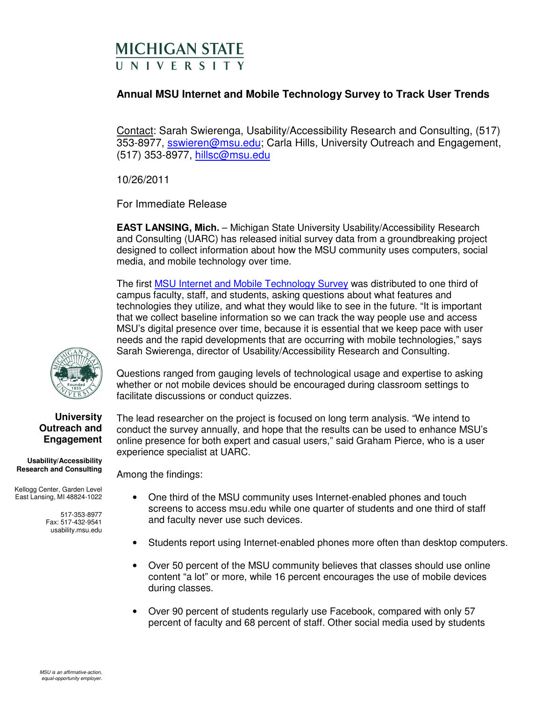## **MICHIGAN STATE II N I V F R S I T Y**

## **Annual MSU Internet and Mobile Technology Survey to Track User Trends**

Contact: Sarah Swierenga, Usability/Accessibility Research and Consulting, (517) 353-8977, sswieren@msu.edu; Carla Hills, University Outreach and Engagement, (517) 353-8977, hillsc@msu.edu

10/26/2011

For Immediate Release

**EAST LANSING, Mich.** – Michigan State University Usability/Accessibility Research and Consulting (UARC) has released initial survey data from a groundbreaking project designed to collect information about how the MSU community uses computers, social media, and mobile technology over time.

The first MSU Internet and Mobile Technology Survey was distributed to one third of campus faculty, staff, and students, asking questions about what features and technologies they utilize, and what they would like to see in the future. "It is important that we collect baseline information so we can track the way people use and access MSU's digital presence over time, because it is essential that we keep pace with user needs and the rapid developments that are occurring with mobile technologies," says Sarah Swierenga, director of Usability/Accessibility Research and Consulting.



Questions ranged from gauging levels of technological usage and expertise to asking whether or not mobile devices should be encouraged during classroom settings to facilitate discussions or conduct quizzes.

The lead researcher on the project is focused on long term analysis. "We intend to conduct the survey annually, and hope that the results can be used to enhance MSU's

## **University Outreach and Engagement**

**Usability/Accessibility Research and Consulting** 

Kellogg Center, Garden Level East Lansing, MI 48824-1022

> 517-353-8977 Fax: 517-432-9541 usability.msu.edu

- online presence for both expert and casual users," said Graham Pierce, who is a user experience specialist at UARC. Among the findings:
	- One third of the MSU community uses Internet-enabled phones and touch screens to access msu.edu while one quarter of students and one third of staff and faculty never use such devices.
	- Students report using Internet-enabled phones more often than desktop computers.
	- Over 50 percent of the MSU community believes that classes should use online content "a lot" or more, while 16 percent encourages the use of mobile devices during classes.
	- Over 90 percent of students regularly use Facebook, compared with only 57 percent of faculty and 68 percent of staff. Other social media used by students